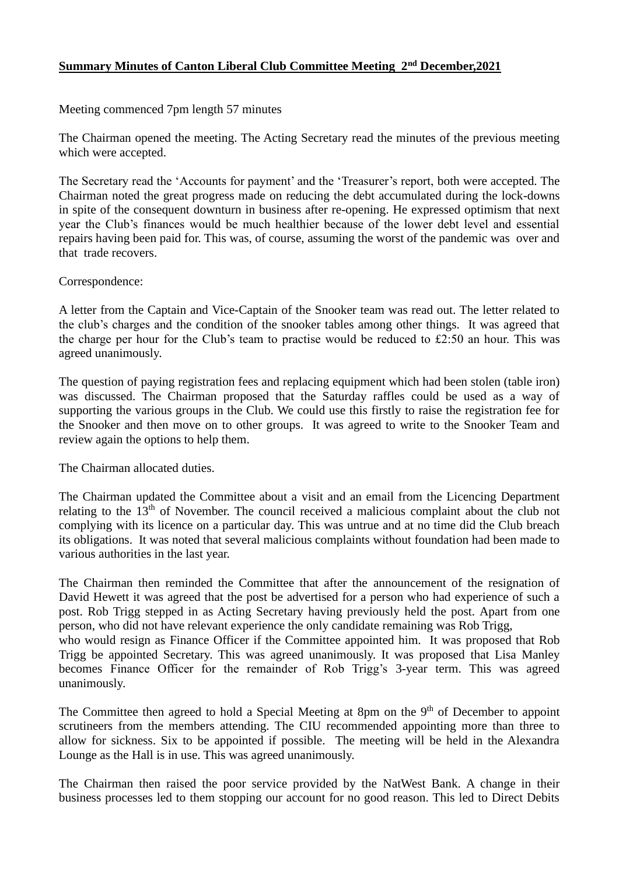## **Summary Minutes of Canton Liberal Club Committee Meeting 2nd December,2021**

## Meeting commenced 7pm length 57 minutes

The Chairman opened the meeting. The Acting Secretary read the minutes of the previous meeting which were accepted.

The Secretary read the 'Accounts for payment' and the 'Treasurer's report, both were accepted. The Chairman noted the great progress made on reducing the debt accumulated during the lock-downs in spite of the consequent downturn in business after re-opening. He expressed optimism that next year the Club's finances would be much healthier because of the lower debt level and essential repairs having been paid for. This was, of course, assuming the worst of the pandemic was over and that trade recovers.

## Correspondence:

A letter from the Captain and Vice-Captain of the Snooker team was read out. The letter related to the club's charges and the condition of the snooker tables among other things. It was agreed that the charge per hour for the Club's team to practise would be reduced to £2:50 an hour. This was agreed unanimously.

The question of paying registration fees and replacing equipment which had been stolen (table iron) was discussed. The Chairman proposed that the Saturday raffles could be used as a way of supporting the various groups in the Club. We could use this firstly to raise the registration fee for the Snooker and then move on to other groups. It was agreed to write to the Snooker Team and review again the options to help them.

The Chairman allocated duties.

The Chairman updated the Committee about a visit and an email from the Licencing Department relating to the 13th of November. The council received a malicious complaint about the club not complying with its licence on a particular day. This was untrue and at no time did the Club breach its obligations. It was noted that several malicious complaints without foundation had been made to various authorities in the last year.

The Chairman then reminded the Committee that after the announcement of the resignation of David Hewett it was agreed that the post be advertised for a person who had experience of such a post. Rob Trigg stepped in as Acting Secretary having previously held the post. Apart from one person, who did not have relevant experience the only candidate remaining was Rob Trigg, who would resign as Finance Officer if the Committee appointed him. It was proposed that Rob

Trigg be appointed Secretary. This was agreed unanimously. It was proposed that Lisa Manley becomes Finance Officer for the remainder of Rob Trigg's 3-year term. This was agreed unanimously.

The Committee then agreed to hold a Special Meeting at 8pm on the  $9<sup>th</sup>$  of December to appoint scrutineers from the members attending. The CIU recommended appointing more than three to allow for sickness. Six to be appointed if possible. The meeting will be held in the Alexandra Lounge as the Hall is in use. This was agreed unanimously.

The Chairman then raised the poor service provided by the NatWest Bank. A change in their business processes led to them stopping our account for no good reason. This led to Direct Debits